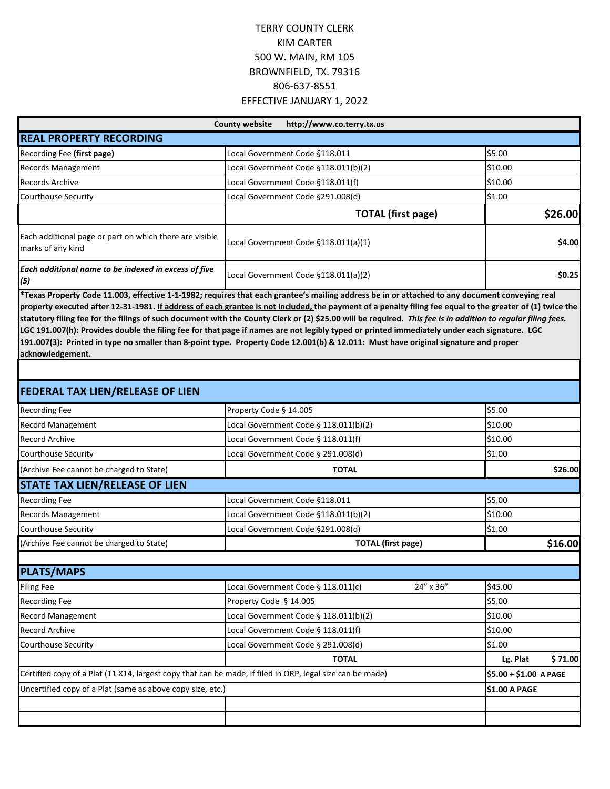| http://www.co.terry.tx.us<br><b>County website</b>                           |                                      |         |
|------------------------------------------------------------------------------|--------------------------------------|---------|
| <b>REAL PROPERTY RECORDING</b>                                               |                                      |         |
| Recording Fee (first page)                                                   | Local Government Code §118.011       | \$5.00  |
| <b>Records Management</b>                                                    | Local Government Code §118.011(b)(2) | \$10.00 |
| <b>Records Archive</b>                                                       | Local Government Code §118.011(f)    | \$10.00 |
| Courthouse Security                                                          | Local Government Code §291.008(d)    | \$1.00  |
|                                                                              | <b>TOTAL (first page)</b>            | \$26.00 |
| Each additional page or part on which there are visible<br>marks of any kind | Local Government Code §118.011(a)(1) | \$4.00  |
| Each additional name to be indexed in excess of five<br>(5)<br>$\frac{1}{2}$ | Local Government Code §118.011(a)(2) | \$0.25  |

**\*Texas Property Code 11.003, effective 1-1-1982; requires that each grantee's mailing address be in or attached to any document conveying real property executed after 12-31-1981. If address of each grantee is not included, the payment of a penalty filing fee equal to the greater of (1) twice the statutory filing fee for the filings of such document with the County Clerk or (2) \$25.00 will be required.** *This fee is in addition to regular filing fees.*  **LGC 191.007(h): Provides double the filing fee for that page if names are not legibly typed or printed immediately under each signature. LGC 191.007(3): Printed in type no smaller than 8-point type. Property Code 12.001(b) & 12.011: Must have original signature and proper acknowledgement.**

| <b>FEDERAL TAX LIEN/RELEASE OF LIEN</b>                    |                                                                                                           |           |                        |         |
|------------------------------------------------------------|-----------------------------------------------------------------------------------------------------------|-----------|------------------------|---------|
| <b>Recording Fee</b>                                       | Property Code § 14.005                                                                                    |           | \$5.00                 |         |
| <b>Record Management</b>                                   | Local Government Code § 118.011(b)(2)                                                                     |           | \$10.00                |         |
| <b>Record Archive</b>                                      | Local Government Code § 118.011(f)                                                                        |           | \$10.00                |         |
| Courthouse Security                                        | Local Government Code § 291.008(d)                                                                        |           | \$1.00                 |         |
| (Archive Fee cannot be charged to State)                   | <b>TOTAL</b>                                                                                              |           |                        | \$26.00 |
| <b>STATE TAX LIEN/RELEASE OF LIEN</b>                      |                                                                                                           |           |                        |         |
| <b>Recording Fee</b>                                       | Local Government Code §118.011                                                                            |           | \$5.00                 |         |
| <b>Records Management</b>                                  | Local Government Code §118.011(b)(2)                                                                      |           | \$10.00                |         |
| Courthouse Security                                        | Local Government Code §291.008(d)                                                                         |           | \$1.00                 |         |
| (Archive Fee cannot be charged to State)                   | <b>TOTAL</b> (first page)                                                                                 |           |                        | \$16.00 |
| <b>PLATS/MAPS</b>                                          |                                                                                                           |           |                        |         |
| <b>Filing Fee</b>                                          | Local Government Code § 118.011(c)                                                                        | 24" x 36" | \$45.00                |         |
| <b>Recording Fee</b>                                       | Property Code § 14.005                                                                                    |           | \$5.00                 |         |
| <b>Record Management</b>                                   | Local Government Code § 118.011(b)(2)                                                                     |           | \$10.00                |         |
| <b>Record Archive</b>                                      | Local Government Code § 118.011(f)                                                                        |           | \$10.00                |         |
| <b>Courthouse Security</b>                                 | Local Government Code § 291.008(d)                                                                        |           | \$1.00                 |         |
|                                                            | <b>TOTAL</b>                                                                                              |           | Lg. Plat               | \$71.00 |
|                                                            | Certified copy of a Plat (11 X14, largest copy that can be made, if filed in ORP, legal size can be made) |           | \$5.00 + \$1.00 A PAGE |         |
| Uncertified copy of a Plat (same as above copy size, etc.) |                                                                                                           |           | \$1.00 A PAGE          |         |
|                                                            |                                                                                                           |           |                        |         |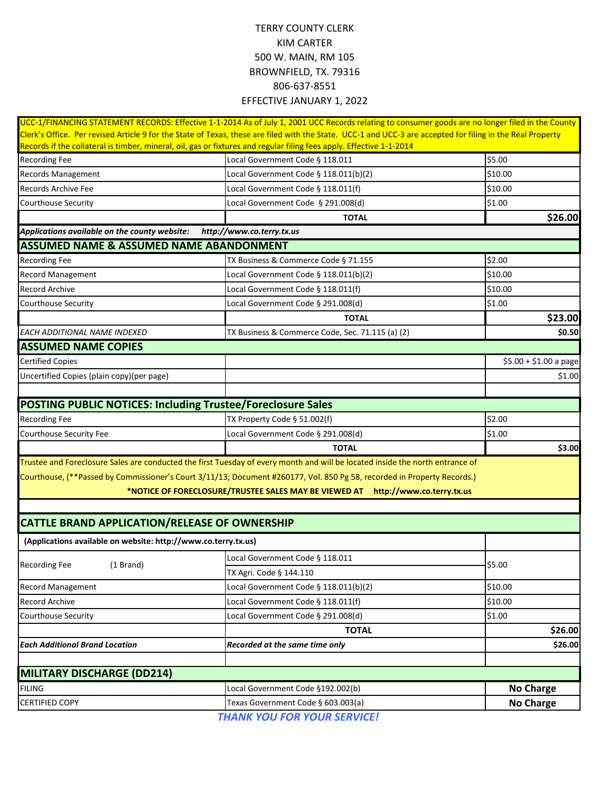|                                                                    | UCC-1/FINANCING STATEMENT RECORDS: Effective 1-1-2014 As of July 1, 2001 UCC Records relating to consumer goods are no longer filed in the County                                                                                                                                  |                        |
|--------------------------------------------------------------------|------------------------------------------------------------------------------------------------------------------------------------------------------------------------------------------------------------------------------------------------------------------------------------|------------------------|
|                                                                    | Clerk's Office. Per revised Article 9 for the State of Texas, these are filed with the State. UCC-1 and UCC-3 are accepted for filing in the Real Property<br>Records if the collateral is timber, mineral, oil, gas or fixtures and regular filing fees apply. Effective 1-1-2014 |                        |
| <b>Recording Fee</b>                                               | Local Government Code § 118.011                                                                                                                                                                                                                                                    | \$5.00                 |
| <b>Records Management</b>                                          | Local Government Code § 118.011(b)(2)                                                                                                                                                                                                                                              | \$10.00                |
| <b>Records Archive Fee</b>                                         | Local Government Code § 118.011(f)                                                                                                                                                                                                                                                 | \$10.00                |
| <b>Courthouse Security</b>                                         | Local Government Code § 291.008(d)                                                                                                                                                                                                                                                 | \$1.00                 |
|                                                                    | <b>TOTAL</b>                                                                                                                                                                                                                                                                       | \$26.00                |
| Applications available on the county website:                      | http://www.co.terry.tx.us                                                                                                                                                                                                                                                          |                        |
| <b>ASSUMED NAME &amp; ASSUMED NAME ABANDONMENT</b>                 |                                                                                                                                                                                                                                                                                    |                        |
| <b>Recording Fee</b>                                               | TX Business & Commerce Code § 71.155                                                                                                                                                                                                                                               | \$2.00                 |
| <b>Record Management</b>                                           | Local Government Code § 118.011(b)(2)                                                                                                                                                                                                                                              | \$10.00                |
| <b>Record Archive</b>                                              | Local Government Code § 118.011(f)                                                                                                                                                                                                                                                 | \$10.00                |
| <b>Courthouse Security</b>                                         | Local Government Code § 291.008(d)                                                                                                                                                                                                                                                 | \$1.00                 |
|                                                                    | <b>TOTAL</b>                                                                                                                                                                                                                                                                       | \$23.00                |
| EACH ADDITIONAL NAME INDEXED                                       | TX Business & Commerce Code, Sec. 71.115 (a) (2)                                                                                                                                                                                                                                   | \$0.50                 |
| <b>ASSUMED NAME COPIES</b>                                         |                                                                                                                                                                                                                                                                                    |                        |
| <b>Certified Copies</b>                                            |                                                                                                                                                                                                                                                                                    | $$5.00 + $1.00$ a page |
| Uncertified Copies (plain copy)(per page)                          |                                                                                                                                                                                                                                                                                    | \$1.00                 |
|                                                                    |                                                                                                                                                                                                                                                                                    |                        |
| <b>POSTING PUBLIC NOTICES: Including Trustee/Foreclosure Sales</b> |                                                                                                                                                                                                                                                                                    |                        |
| <b>Recording Fee</b>                                               | TX Property Code § 51.002(f)                                                                                                                                                                                                                                                       | \$2.00                 |
| Courthouse Security Fee                                            | Local Government Code § 291.008(d)                                                                                                                                                                                                                                                 | \$1.00                 |
|                                                                    | <b>TOTAL</b>                                                                                                                                                                                                                                                                       | \$3.00                 |
|                                                                    | Trustee and Foreclosure Sales are conducted the first Tuesday of every month and will be located inside the north entrance of                                                                                                                                                      |                        |
|                                                                    | Courthouse, (**Passed by Commissioner's Court 3/11/13; Document #260177, Vol. 850 Pg 58, recorded in Property Records.)                                                                                                                                                            |                        |
|                                                                    | *NOTICE OF FORECLOSURE/TRUSTEE SALES MAY BE VIEWED AT http://www.co.terry.tx.us                                                                                                                                                                                                    |                        |
|                                                                    |                                                                                                                                                                                                                                                                                    |                        |
| <b>CATTLE BRAND APPLICATION/RELEASE OF OWNERSHIP</b>               |                                                                                                                                                                                                                                                                                    |                        |
| (Applications available on website: http://www.co.terry.tx.us)     |                                                                                                                                                                                                                                                                                    |                        |
|                                                                    | Local Government Code § 118.011                                                                                                                                                                                                                                                    |                        |
| <b>Recording Fee</b><br>(1 Brand)                                  | TX Agri. Code § 144.110                                                                                                                                                                                                                                                            | \$5.00                 |
| <b>Record Management</b>                                           | Local Government Code § 118.011(b)(2)                                                                                                                                                                                                                                              | \$10.00                |
| <b>Record Archive</b>                                              | Local Government Code § 118.011(f)                                                                                                                                                                                                                                                 | \$10.00                |
| <b>Courthouse Security</b>                                         | Local Government Code § 291.008(d)                                                                                                                                                                                                                                                 | \$1.00                 |
|                                                                    | <b>TOTAL</b>                                                                                                                                                                                                                                                                       | \$26.00                |
| <b>Each Additional Brand Location</b>                              | Recorded at the same time only                                                                                                                                                                                                                                                     | \$26.00                |
|                                                                    |                                                                                                                                                                                                                                                                                    |                        |
| <b>MILITARY DISCHARGE (DD214)</b>                                  |                                                                                                                                                                                                                                                                                    |                        |
| <b>FILING</b>                                                      | Local Government Code §192.002(b)                                                                                                                                                                                                                                                  | <b>No Charge</b>       |
| <b>CERTIFIED COPY</b>                                              | Texas Government Code § 603.003(a)                                                                                                                                                                                                                                                 | <b>No Charge</b>       |
|                                                                    | <b>THANK VOLLEOD VOLID SEDVICEL</b>                                                                                                                                                                                                                                                |                        |

*THANK YOU FOR YOUR SERVICE!*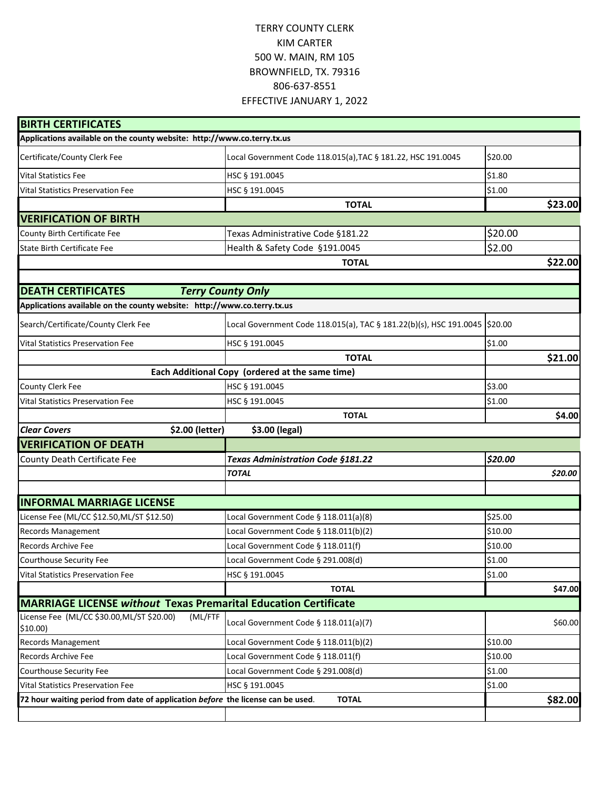| <b>BIRTH CERTIFICATES</b>                                                       |                                                                              |         |         |
|---------------------------------------------------------------------------------|------------------------------------------------------------------------------|---------|---------|
| Applications available on the county website: http://www.co.terry.tx.us         |                                                                              |         |         |
| Certificate/County Clerk Fee                                                    | Local Government Code 118.015(a), TAC § 181.22, HSC 191.0045                 | \$20.00 |         |
| <b>Vital Statistics Fee</b>                                                     | HSC § 191.0045                                                               | \$1.80  |         |
| <b>Vital Statistics Preservation Fee</b>                                        | HSC § 191.0045                                                               | \$1.00  |         |
|                                                                                 | <b>TOTAL</b>                                                                 |         | \$23.00 |
| <b>VERIFICATION OF BIRTH</b>                                                    |                                                                              |         |         |
| County Birth Certificate Fee                                                    | Texas Administrative Code §181.22                                            | \$20.00 |         |
| State Birth Certificate Fee                                                     | Health & Safety Code §191.0045                                               | \$2.00  |         |
|                                                                                 | <b>TOTAL</b>                                                                 |         | \$22.00 |
|                                                                                 |                                                                              |         |         |
| <b>DEATH CERTIFICATES</b>                                                       | <b>Terry County Only</b>                                                     |         |         |
| Applications available on the county website: http://www.co.terry.tx.us         |                                                                              |         |         |
| Search/Certificate/County Clerk Fee                                             | Local Government Code 118.015(a), TAC § 181.22(b)(s), HSC 191.0045   \$20.00 |         |         |
| <b>Vital Statistics Preservation Fee</b>                                        | HSC § 191.0045                                                               | \$1.00  |         |
|                                                                                 | <b>TOTAL</b>                                                                 |         | \$21.00 |
|                                                                                 | Each Additional Copy (ordered at the same time)                              |         |         |
| County Clerk Fee                                                                | HSC § 191.0045                                                               | \$3.00  |         |
| <b>Vital Statistics Preservation Fee</b>                                        | HSC § 191.0045                                                               | \$1.00  |         |
|                                                                                 | <b>TOTAL</b>                                                                 |         | \$4.00  |
| \$2.00 (letter)<br><b>Clear Covers</b>                                          | \$3.00 (legal)                                                               |         |         |
| <b>VERIFICATION OF DEATH</b>                                                    |                                                                              |         |         |
| County Death Certificate Fee                                                    | <b>Texas Administration Code §181.22</b>                                     | \$20.00 |         |
|                                                                                 | <b>TOTAL</b>                                                                 |         | \$20.00 |
|                                                                                 |                                                                              |         |         |
| <b>INFORMAL MARRIAGE LICENSE</b>                                                |                                                                              |         |         |
| License Fee (ML/CC \$12.50, ML/ST \$12.50)                                      | Local Government Code § 118.011(a)(8)                                        | \$25.00 |         |
| <b>Records Management</b>                                                       | Local Government Code § 118.011(b)(2)                                        | \$10.00 |         |
| Records Archive Fee                                                             | Local Government Code § 118.011(f)                                           | \$10.00 |         |
| Courthouse Security Fee                                                         | Local Government Code § 291.008(d)                                           | \$1.00  |         |
| <b>Vital Statistics Preservation Fee</b>                                        | HSC § 191.0045                                                               | \$1.00  |         |
|                                                                                 | <b>TOTAL</b>                                                                 |         | \$47.00 |
| <b>MARRIAGE LICENSE without Texas Premarital Education Certificate</b>          |                                                                              |         |         |
| License Fee (ML/CC \$30.00, ML/ST \$20.00)<br>(ML/FTF<br>$$10.00$ )             | Local Government Code § 118.011(a)(7)                                        |         | \$60.00 |
| <b>Records Management</b>                                                       | Local Government Code § 118.011(b)(2)                                        | \$10.00 |         |
| <b>Records Archive Fee</b>                                                      | Local Government Code § 118.011(f)                                           | \$10.00 |         |
| Courthouse Security Fee                                                         | Local Government Code § 291.008(d)                                           | \$1.00  |         |
| <b>Vital Statistics Preservation Fee</b>                                        | HSC § 191.0045                                                               | \$1.00  |         |
| 72 hour waiting period from date of application before the license can be used. | <b>TOTAL</b>                                                                 |         | \$82.00 |
|                                                                                 |                                                                              |         |         |